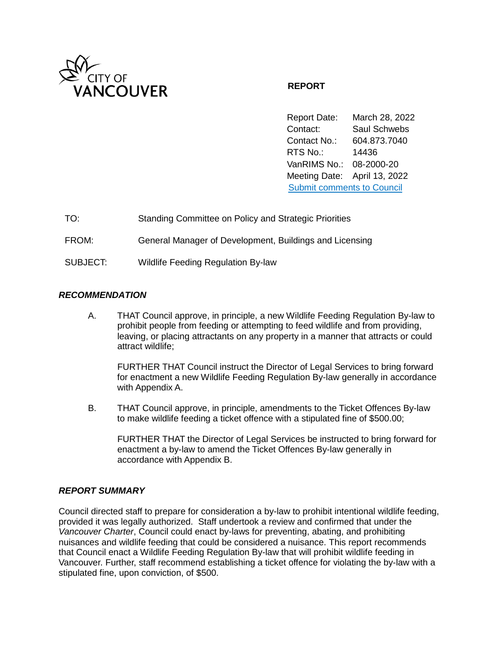

# **REPORT**

Report Date: March 28, 2022 Contact: Saul Schwebs Contact No.: 604.873.7040 RTS No.: 14436 VanRIMS No.: 08-2000-20 Meeting Date: April 13, 2022 [Submit comments to Council](https://vancouver.ca/your-government/contact-council.aspx) 

| TO:      | Standing Committee on Policy and Strategic Priorities   |
|----------|---------------------------------------------------------|
| FROM:    | General Manager of Development, Buildings and Licensing |
| SUBJECT: | <b>Wildlife Feeding Regulation By-law</b>               |

## *RECOMMENDATION*

A. THAT Council approve, in principle, a new Wildlife Feeding Regulation By-law to prohibit people from feeding or attempting to feed wildlife and from providing, leaving, or placing attractants on any property in a manner that attracts or could attract wildlife;

FURTHER THAT Council instruct the Director of Legal Services to bring forward for enactment a new Wildlife Feeding Regulation By-law generally in accordance with Appendix A.

B. THAT Council approve, in principle, amendments to the Ticket Offences By-law to make wildlife feeding a ticket offence with a stipulated fine of \$500.00;

FURTHER THAT the Director of Legal Services be instructed to bring forward for enactment a by-law to amend the Ticket Offences By-law generally in accordance with Appendix B.

### *REPORT SUMMARY*

Council directed staff to prepare for consideration a by-law to prohibit intentional wildlife feeding, provided it was legally authorized. Staff undertook a review and confirmed that under the *Vancouver Charter*, Council could enact by-laws for preventing, abating, and prohibiting nuisances and wildlife feeding that could be considered a nuisance. This report recommends that Council enact a Wildlife Feeding Regulation By-law that will prohibit wildlife feeding in Vancouver. Further, staff recommend establishing a ticket offence for violating the by-law with a stipulated fine, upon conviction, of \$500.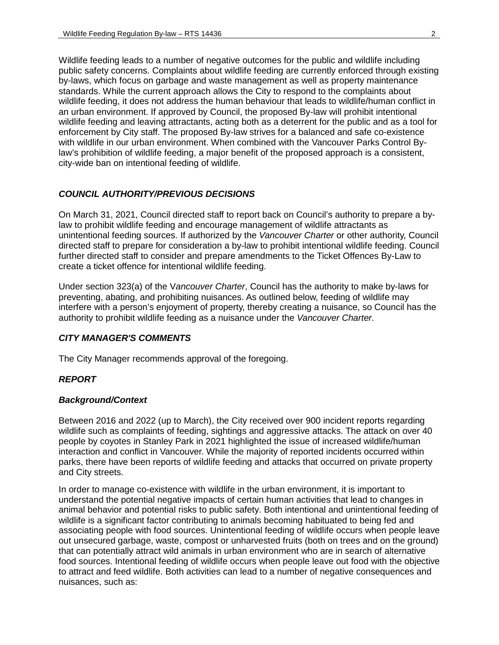Wildlife feeding leads to a number of negative outcomes for the public and wildlife including public safety concerns. Complaints about wildlife feeding are currently enforced through existing by-laws, which focus on garbage and waste management as well as property maintenance standards. While the current approach allows the City to respond to the complaints about wildlife feeding, it does not address the human behaviour that leads to wildlife/human conflict in an urban environment. If approved by Council, the proposed By-law will prohibit intentional wildlife feeding and leaving attractants, acting both as a deterrent for the public and as a tool for enforcement by City staff. The proposed By-law strives for a balanced and safe co-existence with wildlife in our urban environment. When combined with the Vancouver Parks Control Bylaw's prohibition of wildlife feeding, a major benefit of the proposed approach is a consistent, city-wide ban on intentional feeding of wildlife.

### *COUNCIL AUTHORITY/PREVIOUS DECISIONS*

On March 31, 2021, Council directed staff to report back on Council's authority to prepare a bylaw to prohibit wildlife feeding and encourage management of wildlife attractants as unintentional feeding sources. If authorized by the *Vancouver Charter* or other authority, Council directed staff to prepare for consideration a by-law to prohibit intentional wildlife feeding. Council further directed staff to consider and prepare amendments to the Ticket Offences By-Law to create a ticket offence for intentional wildlife feeding.

Under section 323(a) of the V*ancouver Charter*, Council has the authority to make by-laws for preventing, abating, and prohibiting nuisances. As outlined below, feeding of wildlife may interfere with a person's enjoyment of property, thereby creating a nuisance, so Council has the authority to prohibit wildlife feeding as a nuisance under the *Vancouver Charter*.

#### *CITY MANAGER'S COMMENTS*

The City Manager recommends approval of the foregoing.

### *REPORT*

#### *Background/Context*

Between 2016 and 2022 (up to March), the City received over 900 incident reports regarding wildlife such as complaints of feeding, sightings and aggressive attacks. The attack on over 40 people by coyotes in Stanley Park in 2021 highlighted the issue of increased wildlife/human interaction and conflict in Vancouver. While the majority of reported incidents occurred within parks, there have been reports of wildlife feeding and attacks that occurred on private property and City streets.

In order to manage co-existence with wildlife in the urban environment, it is important to understand the potential negative impacts of certain human activities that lead to changes in animal behavior and potential risks to public safety. Both intentional and unintentional feeding of wildlife is a significant factor contributing to animals becoming habituated to being fed and associating people with food sources. Unintentional feeding of wildlife occurs when people leave out unsecured garbage, waste, compost or unharvested fruits (both on trees and on the ground) that can potentially attract wild animals in urban environment who are in search of alternative food sources. Intentional feeding of wildlife occurs when people leave out food with the objective to attract and feed wildlife. Both activities can lead to a number of negative consequences and nuisances, such as: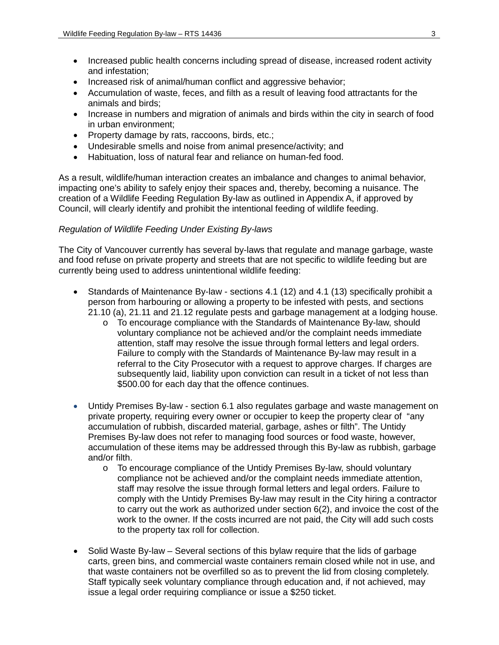- Increased public health concerns including spread of disease, increased rodent activity and infestation;
- Increased risk of animal/human conflict and aggressive behavior;
- Accumulation of waste, feces, and filth as a result of leaving food attractants for the animals and birds;
- Increase in numbers and migration of animals and birds within the city in search of food in urban environment;
- Property damage by rats, raccoons, birds, etc.;
- Undesirable smells and noise from animal presence/activity; and
- Habituation, loss of natural fear and reliance on human-fed food.

As a result, wildlife/human interaction creates an imbalance and changes to animal behavior, impacting one's ability to safely enjoy their spaces and, thereby, becoming a nuisance. The creation of a Wildlife Feeding Regulation By-law as outlined in Appendix A, if approved by Council, will clearly identify and prohibit the intentional feeding of wildlife feeding.

## *Regulation of Wildlife Feeding Under Existing By-laws*

The City of Vancouver currently has several by-laws that regulate and manage garbage, waste and food refuse on private property and streets that are not specific to wildlife feeding but are currently being used to address unintentional wildlife feeding:

- Standards of Maintenance By-law sections 4.1 (12) and 4.1 (13) specifically prohibit a person from harbouring or allowing a property to be infested with pests, and sections 21.10 (a), 21.11 and 21.12 regulate pests and garbage management at a lodging house.
	- o To encourage compliance with the Standards of Maintenance By-law, should voluntary compliance not be achieved and/or the complaint needs immediate attention, staff may resolve the issue through formal letters and legal orders. Failure to comply with the Standards of Maintenance By-law may result in a referral to the City Prosecutor with a request to approve charges. If charges are subsequently laid, liability upon conviction can result in a ticket of not less than \$500.00 for each day that the offence continues.
- Untidy Premises By-law section 6.1 also regulates garbage and waste management on private property, requiring every owner or occupier to keep the property clear of "any accumulation of rubbish, discarded material, garbage, ashes or filth". The Untidy Premises By-law does not refer to managing food sources or food waste, however, accumulation of these items may be addressed through this By-law as rubbish, garbage and/or filth.
	- $\circ$  To encourage compliance of the Untidy Premises By-law, should voluntary compliance not be achieved and/or the complaint needs immediate attention, staff may resolve the issue through formal letters and legal orders. Failure to comply with the Untidy Premises By-law may result in the City hiring a contractor to carry out the work as authorized under section 6(2), and invoice the cost of the work to the owner. If the costs incurred are not paid, the City will add such costs to the property tax roll for collection.
- Solid Waste By-law Several sections of this bylaw require that the lids of garbage carts, green bins, and commercial waste containers remain closed while not in use, and that waste containers not be overfilled so as to prevent the lid from closing completely. Staff typically seek voluntary compliance through education and, if not achieved, may issue a legal order requiring compliance or issue a \$250 ticket.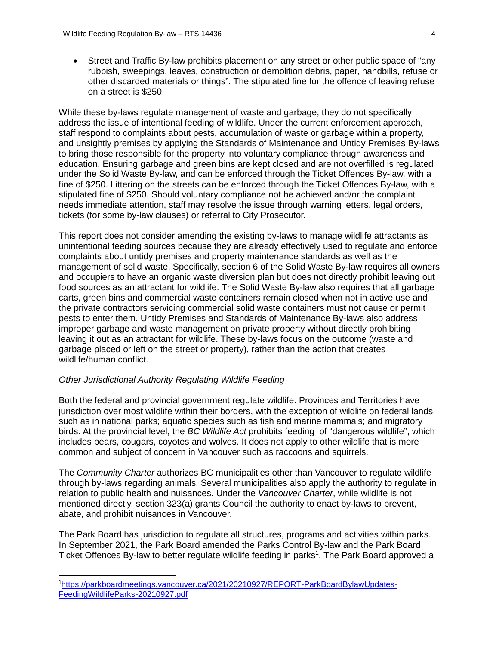• Street and Traffic By-law prohibits placement on any street or other public space of "any rubbish, sweepings, leaves, construction or demolition debris, paper, handbills, refuse or other discarded materials or things". The stipulated fine for the offence of leaving refuse on a street is \$250.

While these by-laws regulate management of waste and garbage, they do not specifically address the issue of intentional feeding of wildlife. Under the current enforcement approach, staff respond to complaints about pests, accumulation of waste or garbage within a property, and unsightly premises by applying the Standards of Maintenance and Untidy Premises By-laws to bring those responsible for the property into voluntary compliance through awareness and education. Ensuring garbage and green bins are kept closed and are not overfilled is regulated under the Solid Waste By-law, and can be enforced through the Ticket Offences By-law, with a fine of \$250. Littering on the streets can be enforced through the Ticket Offences By-law, with a stipulated fine of \$250. Should voluntary compliance not be achieved and/or the complaint needs immediate attention, staff may resolve the issue through warning letters, legal orders, tickets (for some by-law clauses) or referral to City Prosecutor.

This report does not consider amending the existing by-laws to manage wildlife attractants as unintentional feeding sources because they are already effectively used to regulate and enforce complaints about untidy premises and property maintenance standards as well as the management of solid waste. Specifically, section 6 of the Solid Waste By-law requires all owners and occupiers to have an organic waste diversion plan but does not directly prohibit leaving out food sources as an attractant for wildlife. The Solid Waste By-law also requires that all garbage carts, green bins and commercial waste containers remain closed when not in active use and the private contractors servicing commercial solid waste containers must not cause or permit pests to enter them. Untidy Premises and Standards of Maintenance By-laws also address improper garbage and waste management on private property without directly prohibiting leaving it out as an attractant for wildlife. These by-laws focus on the outcome (waste and garbage placed or left on the street or property), rather than the action that creates wildlife/human conflict.

# *Other Jurisdictional Authority Regulating Wildlife Feeding*

Both the federal and provincial government regulate wildlife. Provinces and Territories have jurisdiction over most wildlife within their borders, with the exception of wildlife on federal lands, such as in national parks; aquatic species such as fish and marine mammals; and migratory birds. At the provincial level, the *BC Wildlife Act* prohibits feeding of "dangerous wildlife", which includes bears, cougars, coyotes and wolves. It does not apply to other wildlife that is more common and subject of concern in Vancouver such as raccoons and squirrels.

The *Community Charter* authorizes BC municipalities other than Vancouver to regulate wildlife through by-laws regarding animals. Several municipalities also apply the authority to regulate in relation to public health and nuisances. Under the *Vancouver Charter*, while wildlife is not mentioned directly, section 323(a) grants Council the authority to enact by-laws to prevent, abate, and prohibit nuisances in Vancouver.

The Park Board has jurisdiction to regulate all structures, programs and activities within parks. In September 2021, the Park Board amended the Parks Control By-law and the Park Board Ticket Offences By-law to better regulate wildlife feeding in parks<sup>1</sup>. The Park Board approved a

<span id="page-3-0"></span><sup>1</sup> [https://parkboardmeetings.vancouver.ca/2021/20210927/REPORT-ParkBoardBylawUpdates-](https://parkboardmeetings.vancouver.ca/2021/20210927/REPORT-ParkBoardBylawUpdates-FeedingWildlifeParks-20210927.pdf)[FeedingWildlifeParks-20210927.pdf](https://parkboardmeetings.vancouver.ca/2021/20210927/REPORT-ParkBoardBylawUpdates-FeedingWildlifeParks-20210927.pdf)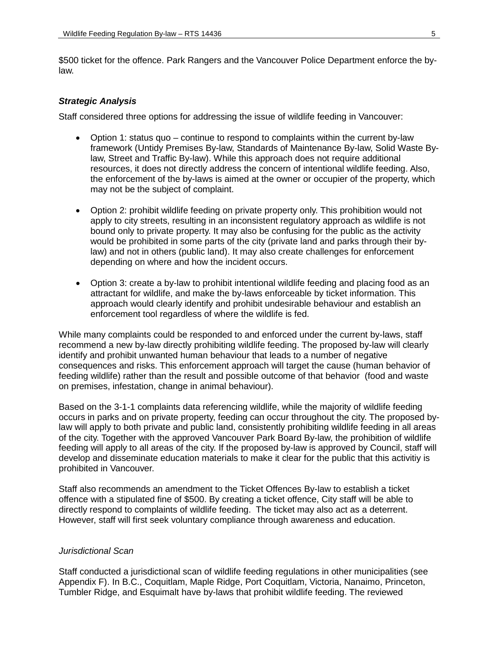\$500 ticket for the offence. Park Rangers and the Vancouver Police Department enforce the bylaw.

#### *Strategic Analysis*

Staff considered three options for addressing the issue of wildlife feeding in Vancouver:

- Option 1: status quo continue to respond to complaints within the current by-law framework (Untidy Premises By-law, Standards of Maintenance By-law, Solid Waste Bylaw, Street and Traffic By-law). While this approach does not require additional resources, it does not directly address the concern of intentional wildlife feeding. Also, the enforcement of the by-laws is aimed at the owner or occupier of the property, which may not be the subject of complaint.
- Option 2: prohibit wildlife feeding on private property only. This prohibition would not apply to city streets, resulting in an inconsistent regulatory approach as wildlife is not bound only to private property. It may also be confusing for the public as the activity would be prohibited in some parts of the city (private land and parks through their bylaw) and not in others (public land). It may also create challenges for enforcement depending on where and how the incident occurs.
- Option 3: create a by-law to prohibit intentional wildlife feeding and placing food as an attractant for wildlife, and make the by-laws enforceable by ticket information. This approach would clearly identify and prohibit undesirable behaviour and establish an enforcement tool regardless of where the wildlife is fed.

While many complaints could be responded to and enforced under the current by-laws, staff recommend a new by-law directly prohibiting wildlife feeding. The proposed by-law will clearly identify and prohibit unwanted human behaviour that leads to a number of negative consequences and risks. This enforcement approach will target the cause (human behavior of feeding wildlife) rather than the result and possible outcome of that behavior (food and waste on premises, infestation, change in animal behaviour).

Based on the 3-1-1 complaints data referencing wildlife, while the majority of wildlife feeding occurs in parks and on private property, feeding can occur throughout the city. The proposed bylaw will apply to both private and public land, consistently prohibiting wildlife feeding in all areas of the city. Together with the approved Vancouver Park Board By-law, the prohibition of wildlife feeding will apply to all areas of the city. If the proposed by-law is approved by Council, staff will develop and disseminate education materials to make it clear for the public that this activitiy is prohibited in Vancouver.

Staff also recommends an amendment to the Ticket Offences By-law to establish a ticket offence with a stipulated fine of \$500. By creating a ticket offence, City staff will be able to directly respond to complaints of wildlife feeding. The ticket may also act as a deterrent. However, staff will first seek voluntary compliance through awareness and education.

#### *Jurisdictional Scan*

Staff conducted a jurisdictional scan of wildlife feeding regulations in other municipalities (see Appendix F). In B.C., Coquitlam, Maple Ridge, Port Coquitlam, Victoria, Nanaimo, Princeton, Tumbler Ridge, and Esquimalt have by-laws that prohibit wildlife feeding. The reviewed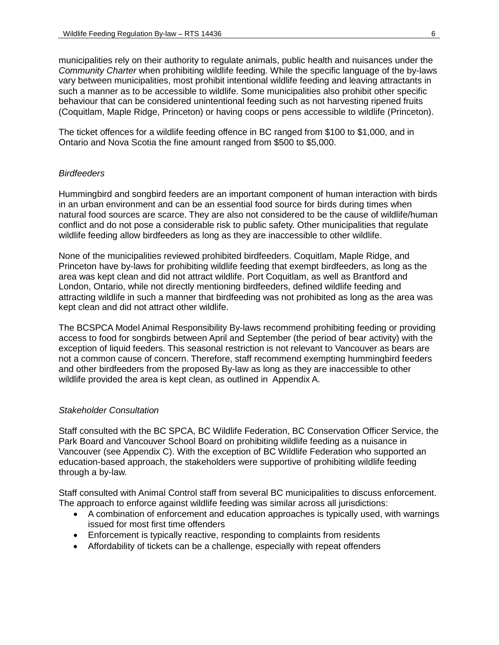municipalities rely on their authority to regulate animals, public health and nuisances under the *Community Charter* when prohibiting wildlife feeding*.* While the specific language of the by-laws vary between municipalities, most prohibit intentional wildlife feeding and leaving attractants in such a manner as to be accessible to wildlife. Some municipalities also prohibit other specific behaviour that can be considered unintentional feeding such as not harvesting ripened fruits (Coquitlam, Maple Ridge, Princeton) or having coops or pens accessible to wildlife (Princeton).

The ticket offences for a wildlife feeding offence in BC ranged from \$100 to \$1,000, and in Ontario and Nova Scotia the fine amount ranged from \$500 to \$5,000.

#### *Birdfeeders*

Hummingbird and songbird feeders are an important component of human interaction with birds in an urban environment and can be an essential food source for birds during times when natural food sources are scarce. They are also not considered to be the cause of wildlife/human conflict and do not pose a considerable risk to public safety. Other municipalities that regulate wildlife feeding allow birdfeeders as long as they are inaccessible to other wildlife.

None of the municipalities reviewed prohibited birdfeeders. Coquitlam, Maple Ridge, and Princeton have by-laws for prohibiting wildlife feeding that exempt birdfeeders, as long as the area was kept clean and did not attract wildlife. Port Coquitlam, as well as Brantford and London, Ontario, while not directly mentioning birdfeeders, defined wildlife feeding and attracting wildlife in such a manner that birdfeeding was not prohibited as long as the area was kept clean and did not attract other wildlife.

The BCSPCA Model Animal Responsibility By-laws recommend prohibiting feeding or providing access to food for songbirds between April and September (the period of bear activity) with the exception of liquid feeders. This seasonal restriction is not relevant to Vancouver as bears are not a common cause of concern. Therefore, staff recommend exempting hummingbird feeders and other birdfeeders from the proposed By-law as long as they are inaccessible to other wildlife provided the area is kept clean, as outlined in Appendix A.

#### *Stakeholder Consultation*

Staff consulted with the BC SPCA, BC Wildlife Federation, BC Conservation Officer Service, the Park Board and Vancouver School Board on prohibiting wildlife feeding as a nuisance in Vancouver (see Appendix C). With the exception of BC Wildlife Federation who supported an education-based approach, the stakeholders were supportive of prohibiting wildlife feeding through a by-law.

Staff consulted with Animal Control staff from several BC municipalities to discuss enforcement. The approach to enforce against wildlife feeding was similar across all jurisdictions:

- A combination of enforcement and education approaches is typically used, with warnings issued for most first time offenders
- Enforcement is typically reactive, responding to complaints from residents
- Affordability of tickets can be a challenge, especially with repeat offenders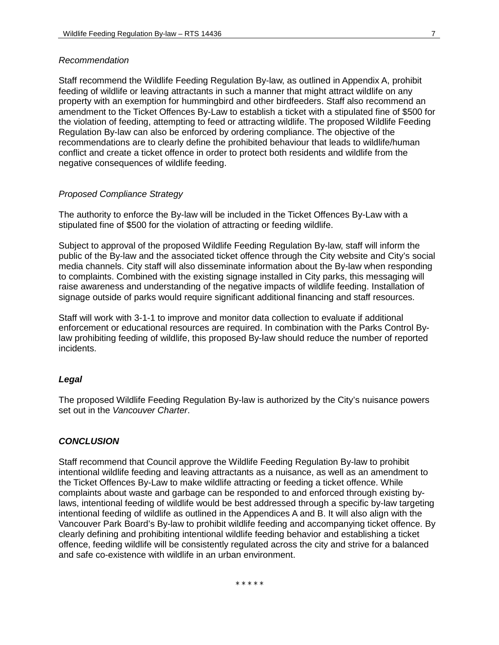#### *Recommendation*

Staff recommend the Wildlife Feeding Regulation By-law, as outlined in Appendix A, prohibit feeding of wildlife or leaving attractants in such a manner that might attract wildlife on any property with an exemption for hummingbird and other birdfeeders. Staff also recommend an amendment to the Ticket Offences By-Law to establish a ticket with a stipulated fine of \$500 for the violation of feeding, attempting to feed or attracting wildlife. The proposed Wildlife Feeding Regulation By-law can also be enforced by ordering compliance. The objective of the recommendations are to clearly define the prohibited behaviour that leads to wildlife/human conflict and create a ticket offence in order to protect both residents and wildlife from the negative consequences of wildlife feeding.

#### *Proposed Compliance Strategy*

The authority to enforce the By-law will be included in the Ticket Offences By-Law with a stipulated fine of \$500 for the violation of attracting or feeding wildlife.

Subject to approval of the proposed Wildlife Feeding Regulation By-law, staff will inform the public of the By-law and the associated ticket offence through the City website and City's social media channels. City staff will also disseminate information about the By-law when responding to complaints. Combined with the existing signage installed in City parks, this messaging will raise awareness and understanding of the negative impacts of wildlife feeding. Installation of signage outside of parks would require significant additional financing and staff resources.

Staff will work with 3-1-1 to improve and monitor data collection to evaluate if additional enforcement or educational resources are required. In combination with the Parks Control Bylaw prohibiting feeding of wildlife, this proposed By-law should reduce the number of reported incidents.

#### *Legal*

The proposed Wildlife Feeding Regulation By-law is authorized by the City's nuisance powers set out in the *Vancouver Charter*.

#### *CONCLUSION*

Staff recommend that Council approve the Wildlife Feeding Regulation By-law to prohibit intentional wildlife feeding and leaving attractants as a nuisance, as well as an amendment to the Ticket Offences By-Law to make wildlife attracting or feeding a ticket offence. While complaints about waste and garbage can be responded to and enforced through existing bylaws, intentional feeding of wildlife would be best addressed through a specific by-law targeting intentional feeding of wildlife as outlined in the Appendices A and B. It will also align with the Vancouver Park Board's By-law to prohibit wildlife feeding and accompanying ticket offence. By clearly defining and prohibiting intentional wildlife feeding behavior and establishing a ticket offence, feeding wildlife will be consistently regulated across the city and strive for a balanced and safe co-existence with wildlife in an urban environment.

\* \* \* \* \*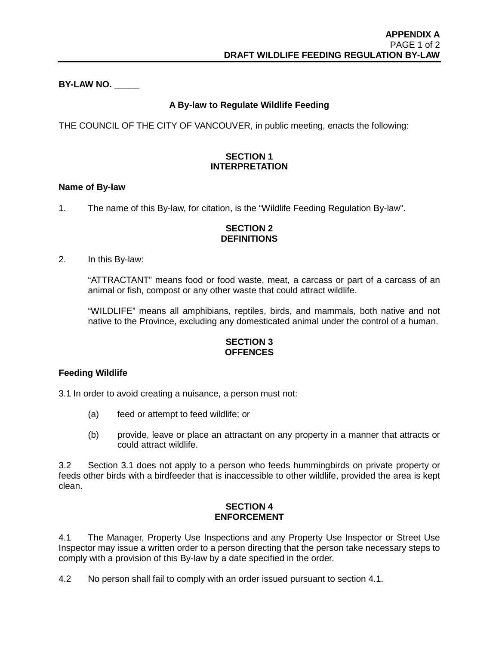**BY-LAW NO. \_\_\_\_\_**

# **A By-law to Regulate Wildlife Feeding**

THE COUNCIL OF THE CITY OF VANCOUVER, in public meeting, enacts the following:

# **SECTION 1 INTERPRETATION**

### **Name of By-law**

1. The name of this By-law, for citation, is the "Wildlife Feeding Regulation By-law".

## **SECTION 2 DEFINITIONS**

## 2. In this By-law:

"ATTRACTANT" means food or food waste, meat, a carcass or part of a carcass of an animal or fish, compost or any other waste that could attract wildlife.

"WILDLIFE" means all amphibians, reptiles, birds, and mammals, both native and not native to the Province, excluding any domesticated animal under the control of a human.

# **SECTION 3 OFFENCES**

# **Feeding Wildlife**

3.1 In order to avoid creating a nuisance, a person must not:

- (a) feed or attempt to feed wildlife; or
- (b) provide, leave or place an attractant on any property in a manner that attracts or could attract wildlife.

3.2 Section 3.1 does not apply to a person who feeds hummingbirds on private property or feeds other birds with a birdfeeder that is inaccessible to other wildlife, provided the area is kept clean.

### **SECTION 4 ENFORCEMENT**

4.1 The Manager, Property Use Inspections and any Property Use Inspector or Street Use Inspector may issue a written order to a person directing that the person take necessary steps to comply with a provision of this By-law by a date specified in the order.

4.2 No person shall fail to comply with an order issued pursuant to section 4.1.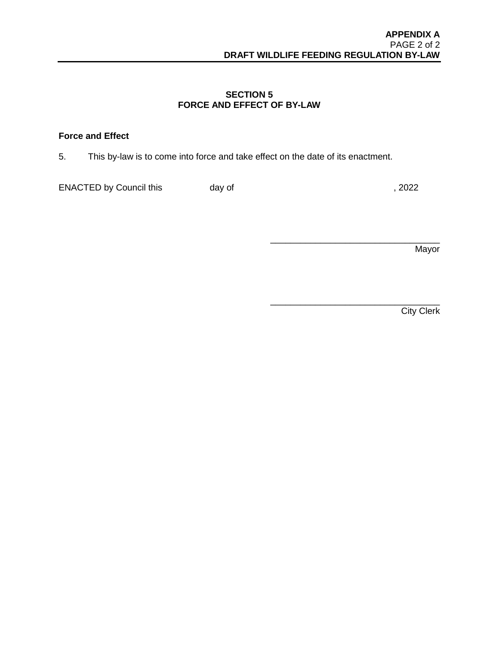\_\_\_\_\_\_\_\_\_\_\_\_\_\_\_\_\_\_\_\_\_\_\_\_\_\_\_\_\_\_\_\_\_\_

# **SECTION 5 FORCE AND EFFECT OF BY-LAW**

# **Force and Effect**

5. This by-law is to come into force and take effect on the date of its enactment.

ENACTED by Council this day of  $\frac{1}{2022}$ 

**Mayor** 

\_\_\_\_\_\_\_\_\_\_\_\_\_\_\_\_\_\_\_\_\_\_\_\_\_\_\_\_\_\_\_\_\_\_ **City Clerk**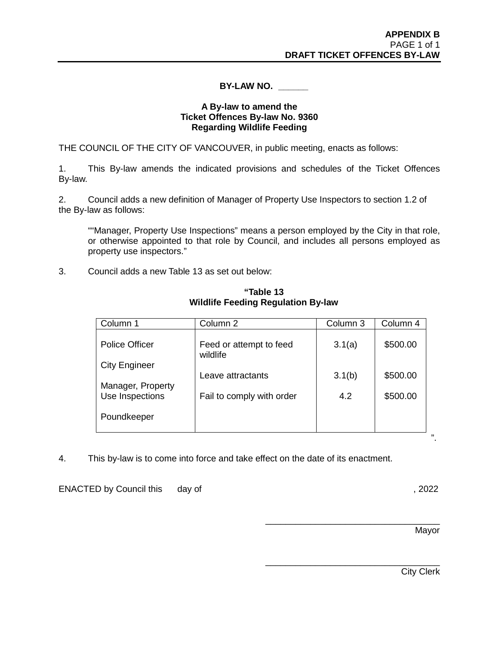# **BY-LAW NO. \_\_\_\_\_\_**

## **A By-law to amend the Ticket Offences By-law No. 9360 Regarding Wildlife Feeding**

THE COUNCIL OF THE CITY OF VANCOUVER, in public meeting, enacts as follows:

1. This By-law amends the indicated provisions and schedules of the Ticket Offences By-law.

2. Council adds a new definition of Manager of Property Use Inspectors to section 1.2 of the By-law as follows:

""Manager, Property Use Inspections" means a person employed by the City in that role, or otherwise appointed to that role by Council, and includes all persons employed as property use inspectors."

3. Council adds a new Table 13 as set out below:

|                   |                                                      | \$500.00      |
|-------------------|------------------------------------------------------|---------------|
| wildlife          |                                                      |               |
|                   |                                                      |               |
| Leave attractants | 3.1(b)                                               | \$500.00      |
|                   |                                                      |               |
|                   |                                                      | \$500.00      |
|                   |                                                      |               |
|                   | Feed or attempt to feed<br>Fail to comply with order | 3.1(a)<br>4.2 |

**"Table 13 Wildlife Feeding Regulation By-law** 

4. This by-law is to come into force and take effect on the date of its enactment.

ENACTED by Council this day of , 2022

Mayor

\_\_\_\_\_\_\_\_\_\_\_\_\_\_\_\_\_\_\_\_\_\_\_\_\_\_\_\_\_\_\_\_\_\_\_

\_\_\_\_\_\_\_\_\_\_\_\_\_\_\_\_\_\_\_\_\_\_\_\_\_\_\_\_\_\_\_\_\_\_\_

City Clerk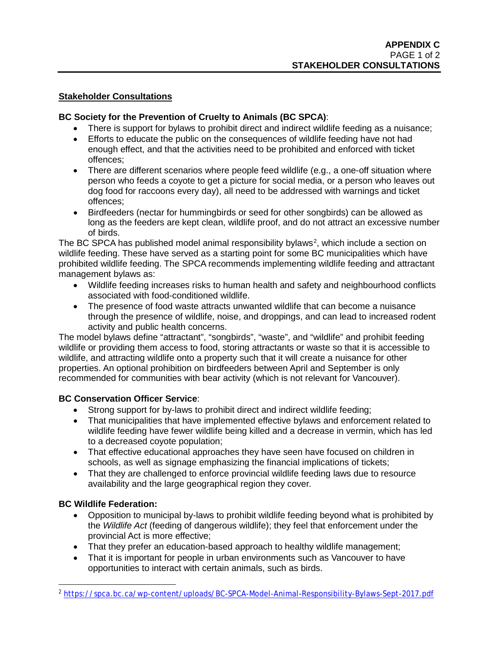# **Stakeholder Consultations**

# **BC Society for the Prevention of Cruelty to Animals (BC SPCA)**:

- There is support for bylaws to prohibit direct and indirect wildlife feeding as a nuisance;
- Efforts to educate the public on the consequences of wildlife feeding have not had enough effect, and that the activities need to be prohibited and enforced with ticket offences;
- There are different scenarios where people feed wildlife (e.g., a one-off situation where person who feeds a coyote to get a picture for social media, or a person who leaves out dog food for raccoons every day), all need to be addressed with warnings and ticket offences;
- Birdfeeders (nectar for hummingbirds or seed for other songbirds) can be allowed as long as the feeders are kept clean, wildlife proof, and do not attract an excessive number of birds.

The BC SPCA has published model animal responsibility bylaws<sup>[2](#page-10-0)</sup>, which include a section on wildlife feeding. These have served as a starting point for some BC municipalities which have prohibited wildlife feeding. The SPCA recommends implementing wildlife feeding and attractant management bylaws as:

- Wildlife feeding increases risks to human health and safety and neighbourhood conflicts associated with food-conditioned wildlife.
- The presence of food waste attracts unwanted wildlife that can become a nuisance through the presence of wildlife, noise, and droppings, and can lead to increased rodent activity and public health concerns.

The model bylaws define "attractant", "songbirds", "waste", and "wildlife" and prohibit feeding wildlife or providing them access to food, storing attractants or waste so that it is accessible to wildlife, and attracting wildlife onto a property such that it will create a nuisance for other properties. An optional prohibition on birdfeeders between April and September is only recommended for communities with bear activity (which is not relevant for Vancouver).

# **BC Conservation Officer Service**:

- Strong support for by-laws to prohibit direct and indirect wildlife feeding;
- That municipalities that have implemented effective bylaws and enforcement related to wildlife feeding have fewer wildlife being killed and a decrease in vermin, which has led to a decreased coyote population;
- That effective educational approaches they have seen have focused on children in schools, as well as signage emphasizing the financial implications of tickets;
- That they are challenged to enforce provincial wildlife feeding laws due to resource availability and the large geographical region they cover.

# **BC Wildlife Federation:**

- Opposition to municipal by-laws to prohibit wildlife feeding beyond what is prohibited by the *Wildlife Act* (feeding of dangerous wildlife); they feel that enforcement under the provincial Act is more effective;
- That they prefer an education-based approach to healthy wildlife management;
- That it is important for people in urban environments such as Vancouver to have opportunities to interact with certain animals, such as birds.

<span id="page-10-0"></span> <sup>2</sup> <https://spca.bc.ca/wp-content/uploads/BC-SPCA-Model-Animal-Responsibility-Bylaws-Sept-2017.pdf>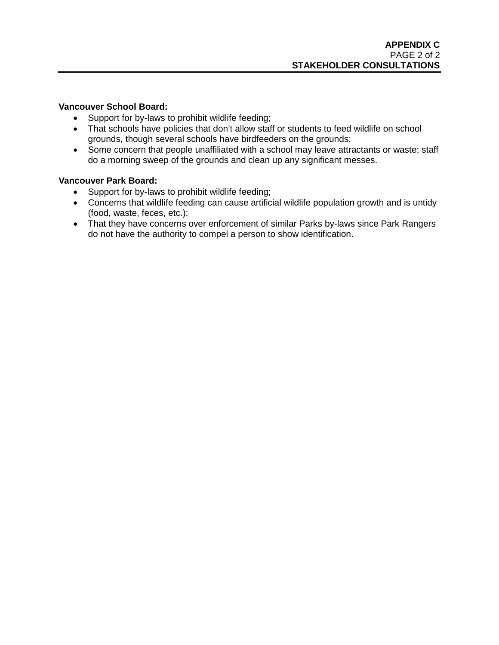## **Vancouver School Board:**

- Support for by-laws to prohibit wildlife feeding;
- That schools have policies that don't allow staff or students to feed wildlife on school grounds, though several schools have birdfeeders on the grounds;
- Some concern that people unaffiliated with a school may leave attractants or waste; staff do a morning sweep of the grounds and clean up any significant messes.

# **Vancouver Park Board:**

- Support for by-laws to prohibit wildlife feeding;
- Concerns that wildlife feeding can cause artificial wildlife population growth and is untidy (food, waste, feces, etc.);
- That they have concerns over enforcement of similar Parks by-laws since Park Rangers do not have the authority to compel a person to show identification.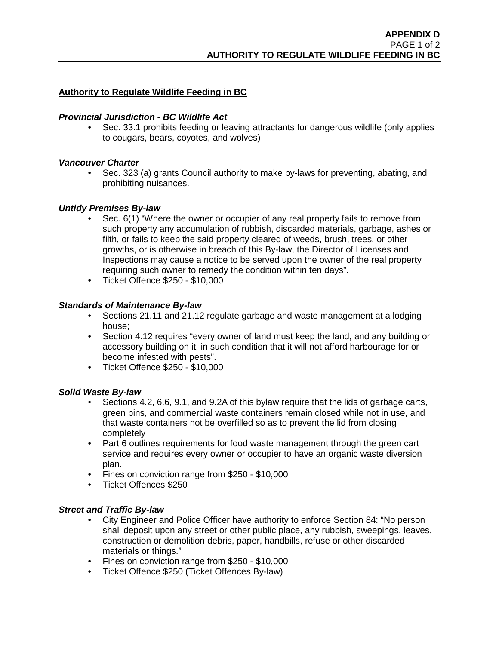# **Authority to Regulate Wildlife Feeding in BC**

# *Provincial Jurisdiction - BC Wildlife Act*

• Sec. 33.1 prohibits feeding or leaving attractants for dangerous wildlife (only applies to cougars, bears, coyotes, and wolves)

### *Vancouver Charter*

• Sec. 323 (a) grants Council authority to make by-laws for preventing, abating, and prohibiting nuisances.

## *Untidy Premises By-law*

- Sec. 6(1) "Where the owner or occupier of any real property fails to remove from such property any accumulation of rubbish, discarded materials, garbage, ashes or filth, or fails to keep the said property cleared of weeds, brush, trees, or other growths, or is otherwise in breach of this By-law, the Director of Licenses and Inspections may cause a notice to be served upon the owner of the real property requiring such owner to remedy the condition within ten days".
- Ticket Offence \$250 \$10,000

## *Standards of Maintenance By-law*

- Sections 21.11 and 21.12 regulate garbage and waste management at a lodging house;
- Section 4.12 requires "every owner of land must keep the land, and any building or accessory building on it, in such condition that it will not afford harbourage for or become infested with pests".
- Ticket Offence \$250 \$10,000

### *Solid Waste By-law*

- Sections 4.2, 6.6, 9.1, and 9.2A of this bylaw require that the lids of garbage carts, green bins, and commercial waste containers remain closed while not in use, and that waste containers not be overfilled so as to prevent the lid from closing completely
- Part 6 outlines requirements for food waste management through the green cart service and requires every owner or occupier to have an organic waste diversion plan.
- Fines on conviction range from \$250 \$10,000
- Ticket Offences \$250

### *Street and Traffic By-law*

- City Engineer and Police Officer have authority to enforce Section 84: "No person shall deposit upon any street or other public place, any rubbish, sweepings, leaves, construction or demolition debris, paper, handbills, refuse or other discarded materials or things."
- Fines on conviction range from \$250 \$10,000
- Ticket Offence \$250 (Ticket Offences By-law)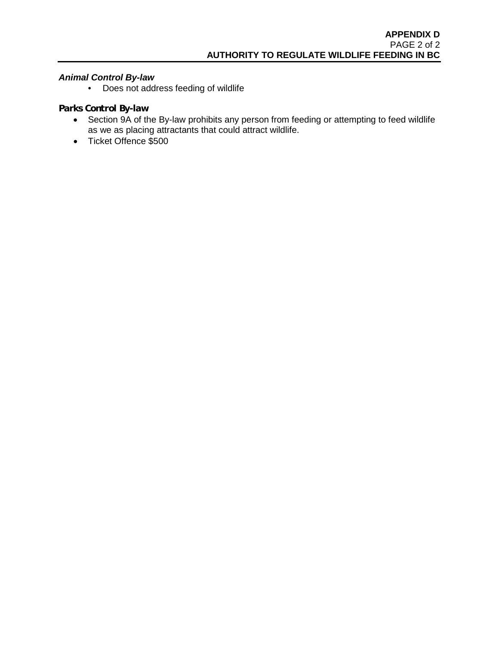# *Animal Control By-law*

• Does not address feeding of wildlife

# *Parks Control By-law*

- Section 9A of the By-law prohibits any person from feeding or attempting to feed wildlife as we as placing attractants that could attract wildlife.
- Ticket Offence \$500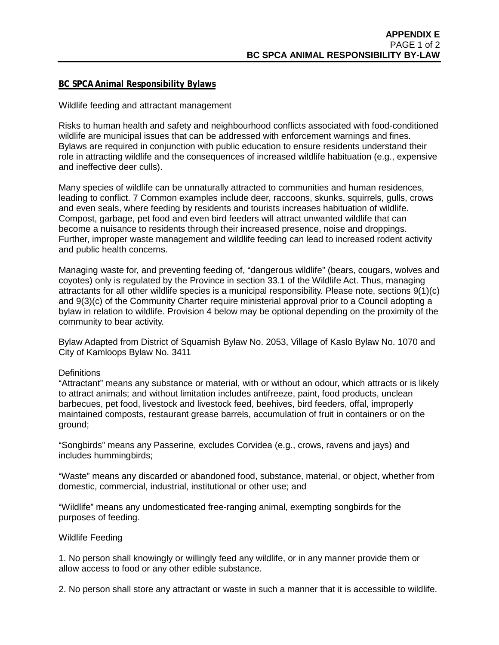## **BC SPCA Animal Responsibility Bylaws**

### Wildlife feeding and attractant management

Risks to human health and safety and neighbourhood conflicts associated with food-conditioned wildlife are municipal issues that can be addressed with enforcement warnings and fines. Bylaws are required in conjunction with public education to ensure residents understand their role in attracting wildlife and the consequences of increased wildlife habituation (e.g., expensive and ineffective deer culls).

Many species of wildlife can be unnaturally attracted to communities and human residences, leading to conflict. 7 Common examples include deer, raccoons, skunks, squirrels, gulls, crows and even seals, where feeding by residents and tourists increases habituation of wildlife. Compost, garbage, pet food and even bird feeders will attract unwanted wildlife that can become a nuisance to residents through their increased presence, noise and droppings. Further, improper waste management and wildlife feeding can lead to increased rodent activity and public health concerns.

Managing waste for, and preventing feeding of, "dangerous wildlife" (bears, cougars, wolves and coyotes) only is regulated by the Province in section 33.1 of the Wildlife Act. Thus, managing attractants for all other wildlife species is a municipal responsibility. Please note, sections 9(1)(c) and 9(3)(c) of the Community Charter require ministerial approval prior to a Council adopting a bylaw in relation to wildlife. Provision 4 below may be optional depending on the proximity of the community to bear activity.

Bylaw Adapted from District of Squamish Bylaw No. 2053, Village of Kaslo Bylaw No. 1070 and City of Kamloops Bylaw No. 3411

#### **Definitions**

"Attractant" means any substance or material, with or without an odour, which attracts or is likely to attract animals; and without limitation includes antifreeze, paint, food products, unclean barbecues, pet food, livestock and livestock feed, beehives, bird feeders, offal, improperly maintained composts, restaurant grease barrels, accumulation of fruit in containers or on the ground;

"Songbirds" means any Passerine, excludes Corvidea (e.g., crows, ravens and jays) and includes hummingbirds;

"Waste" means any discarded or abandoned food, substance, material, or object, whether from domestic, commercial, industrial, institutional or other use; and

"Wildlife" means any undomesticated free-ranging animal, exempting songbirds for the purposes of feeding.

#### Wildlife Feeding

1. No person shall knowingly or willingly feed any wildlife, or in any manner provide them or allow access to food or any other edible substance.

2. No person shall store any attractant or waste in such a manner that it is accessible to wildlife.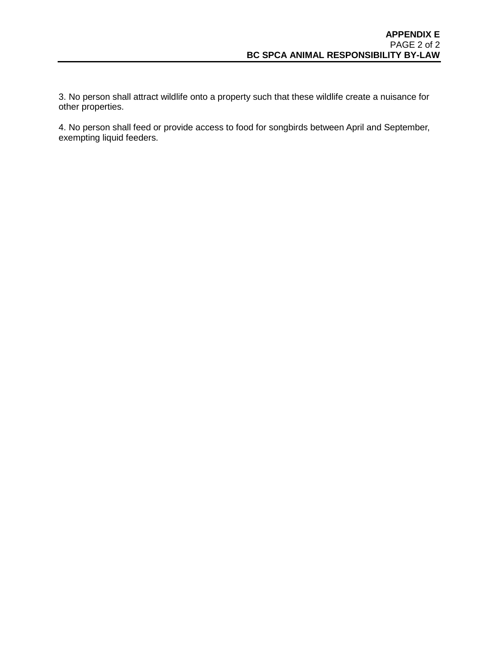3. No person shall attract wildlife onto a property such that these wildlife create a nuisance for other properties.

4. No person shall feed or provide access to food for songbirds between April and September, exempting liquid feeders.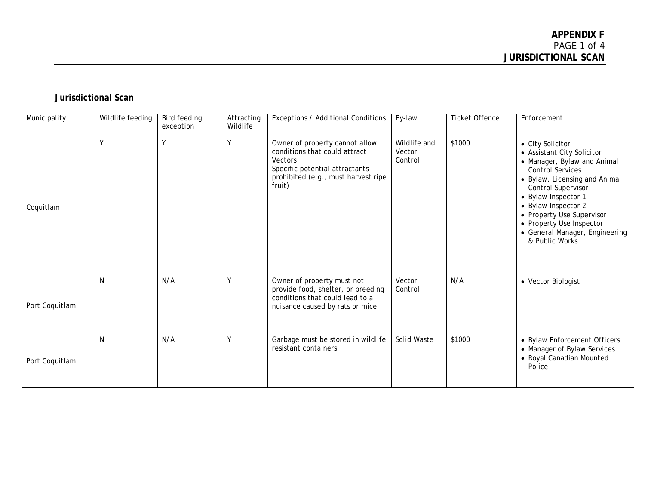# **Jurisdictional Scan**

| Municipality   | Wildlife feeding | <b>Bird feeding</b><br>exception | Attracting<br>Wildlife | Exceptions / Additional Conditions                                                                                                                            | By-law                            | <b>Ticket Offence</b> | Enforcement                                                                                                                                                                                                                                                                                                                |
|----------------|------------------|----------------------------------|------------------------|---------------------------------------------------------------------------------------------------------------------------------------------------------------|-----------------------------------|-----------------------|----------------------------------------------------------------------------------------------------------------------------------------------------------------------------------------------------------------------------------------------------------------------------------------------------------------------------|
| Coquitlam      |                  | V                                | ٧                      | Owner of property cannot allow<br>conditions that could attract<br>Vectors<br>Specific potential attractants<br>prohibited (e.g., must harvest ripe<br>fruit) | Wildlife and<br>Vector<br>Control | \$1000                | • City Solicitor<br>• Assistant City Solicitor<br>• Manager, Bylaw and Animal<br><b>Control Services</b><br>• Bylaw, Licensing and Animal<br>Control Supervisor<br>• Bylaw Inspector 1<br>• Bylaw Inspector 2<br>• Property Use Supervisor<br>• Property Use Inspector<br>• General Manager, Engineering<br>& Public Works |
| Port Coquitlam | N                | N/A                              | Y                      | Owner of property must not<br>provide food, shelter, or breeding<br>conditions that could lead to a<br>nuisance caused by rats or mice                        | Vector<br>Control                 | N/A                   | • Vector Biologist                                                                                                                                                                                                                                                                                                         |
| Port Coquitlam | N                | N/A                              | Y                      | Garbage must be stored in wildlife<br>resistant containers                                                                                                    | Solid Waste                       | \$1000                | • Bylaw Enforcement Officers<br>• Manager of Bylaw Services<br>• Royal Canadian Mounted<br>Police                                                                                                                                                                                                                          |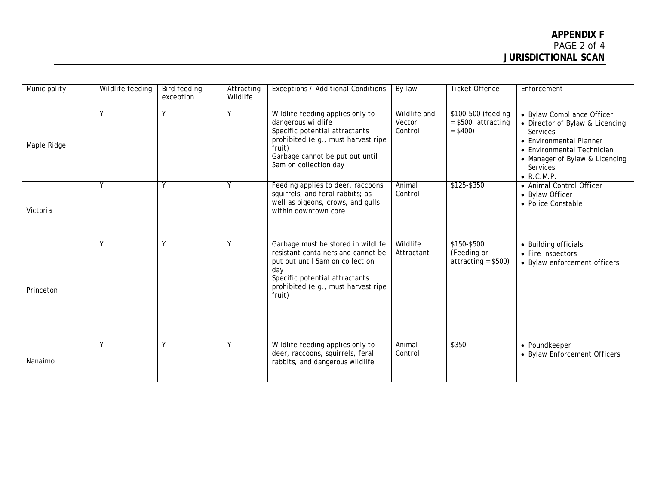| Municipality | Wildlife feeding | <b>Bird feeding</b><br>exception | Attracting<br>Wildlife | Exceptions / Additional Conditions                                                                                                                                                                    | By-law                            | <b>Ticket Offence</b>                                   | Enforcement                                                                                                                                                                                            |
|--------------|------------------|----------------------------------|------------------------|-------------------------------------------------------------------------------------------------------------------------------------------------------------------------------------------------------|-----------------------------------|---------------------------------------------------------|--------------------------------------------------------------------------------------------------------------------------------------------------------------------------------------------------------|
| Maple Ridge  | <b>V</b>         |                                  | γ                      | Wildlife feeding applies only to<br>dangerous wildlife<br>Specific potential attractants<br>prohibited (e.g., must harvest ripe<br>fruit)<br>Garbage cannot be put out until<br>5am on collection day | Wildlife and<br>Vector<br>Control | \$100-500 (feeding<br>$= $500$ , attracting<br>$= $400$ | • Bylaw Compliance Officer<br>• Director of Bylaw & Licencing<br>Services<br>• Environmental Planner<br>• Environmental Technician<br>• Manager of Bylaw & Licencing<br>Services<br>$\bullet$ R.C.M.P. |
| Victoria     | Y                | γ                                | Υ                      | Feeding applies to deer, raccoons,<br>squirrels, and feral rabbits; as<br>well as pigeons, crows, and gulls<br>within downtown core                                                                   | Animal<br>Control                 | $$125 - $350$                                           | • Animal Control Officer<br>• Bylaw Officer<br>• Police Constable                                                                                                                                      |
| Princeton    | Y                | Υ                                | Y                      | Garbage must be stored in wildlife<br>resistant containers and cannot be<br>put out until 5am on collection<br>day<br>Specific potential attractants<br>prohibited (e.g., must harvest ripe<br>fruit) | Wildlife<br>Attractant            | \$150-\$500<br>(Feeding or<br>$attracting = $500$       | • Building officials<br>• Fire inspectors<br>• Bylaw enforcement officers                                                                                                                              |
| Nanaimo      | Υ                | Υ                                | Υ                      | Wildlife feeding applies only to<br>deer, raccoons, squirrels, feral<br>rabbits, and dangerous wildlife                                                                                               | Animal<br>Control                 | \$350                                                   | • Poundkeeper<br>• Bylaw Enforcement Officers                                                                                                                                                          |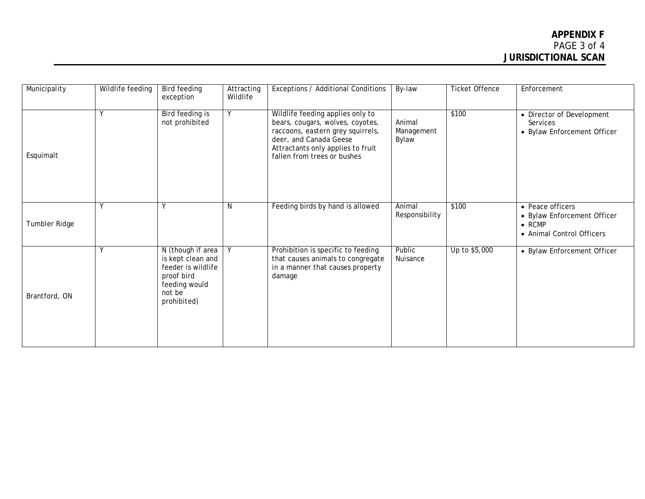| Municipality  | Wildlife feeding | <b>Bird feeding</b><br>exception                                                                                     | Attracting<br>Wildlife | Exceptions / Additional Conditions                                                                                                                                                                      | By-law                        | <b>Ticket Offence</b> | Enforcement                                                                                    |
|---------------|------------------|----------------------------------------------------------------------------------------------------------------------|------------------------|---------------------------------------------------------------------------------------------------------------------------------------------------------------------------------------------------------|-------------------------------|-----------------------|------------------------------------------------------------------------------------------------|
| Esquimalt     | <b>V</b>         | <b>Bird feeding is</b><br>not prohibited                                                                             | Y                      | Wildlife feeding applies only to<br>bears, cougars, wolves, coyotes,<br>raccoons, eastern grey squirrels,<br>deer, and Canada Geese<br>Attractants only applies to fruit<br>fallen from trees or bushes | Animal<br>Management<br>Bylaw | \$100                 | • Director of Development<br>Services<br>• Bylaw Enforcement Officer                           |
| Tumbler Ridge | ٧                |                                                                                                                      | N                      | Feeding birds by hand is allowed                                                                                                                                                                        | Animal<br>Responsibility      | \$100                 | • Peace officers<br>• Bylaw Enforcement Officer<br>$\bullet$ RCMP<br>• Animal Control Officers |
| Brantford, ON | Y                | N (though if area<br>is kept clean and<br>feeder is wildlife<br>proof bird<br>feeding would<br>not be<br>prohibited) | Y                      | Prohibition is specific to feeding<br>that causes animals to congregate<br>in a manner that causes property<br>damage                                                                                   | Public<br>Nuisance            | Up to \$5,000         | • Bylaw Enforcement Officer                                                                    |